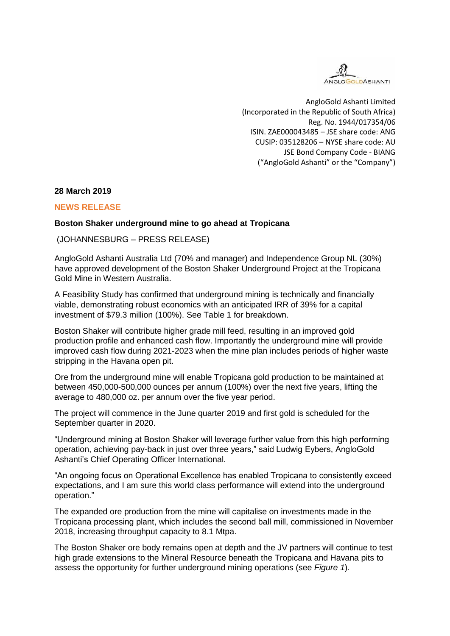

AngloGold Ashanti Limited (Incorporated in the Republic of South Africa) Reg. No. 1944/017354/06 ISIN. ZAE000043485 – JSE share code: ANG CUSIP: 035128206 – NYSE share code: AU JSE Bond Company Code - BIANG ("AngloGold Ashanti" or the "Company")

#### **28 March 2019**

#### **NEWS RELEASE**

#### **Boston Shaker underground mine to go ahead at Tropicana**

(JOHANNESBURG – PRESS RELEASE)

AngloGold Ashanti Australia Ltd (70% and manager) and Independence Group NL (30%) have approved development of the Boston Shaker Underground Project at the Tropicana Gold Mine in Western Australia.

A Feasibility Study has confirmed that underground mining is technically and financially viable, demonstrating robust economics with an anticipated IRR of 39% for a capital investment of \$79.3 million (100%). See Table 1 for breakdown.

Boston Shaker will contribute higher grade mill feed, resulting in an improved gold production profile and enhanced cash flow. Importantly the underground mine will provide improved cash flow during 2021-2023 when the mine plan includes periods of higher waste stripping in the Havana open pit.

Ore from the underground mine will enable Tropicana gold production to be maintained at between 450,000-500,000 ounces per annum (100%) over the next five years, lifting the average to 480,000 oz. per annum over the five year period.

The project will commence in the June quarter 2019 and first gold is scheduled for the September quarter in 2020.

"Underground mining at Boston Shaker will leverage further value from this high performing operation, achieving pay-back in just over three years," said Ludwig Eybers, AngloGold Ashanti's Chief Operating Officer International.

"An ongoing focus on Operational Excellence has enabled Tropicana to consistently exceed expectations, and I am sure this world class performance will extend into the underground operation."

The expanded ore production from the mine will capitalise on investments made in the Tropicana processing plant, which includes the second ball mill, commissioned in November 2018, increasing throughput capacity to 8.1 Mtpa.

The Boston Shaker ore body remains open at depth and the JV partners will continue to test high grade extensions to the Mineral Resource beneath the Tropicana and Havana pits to assess the opportunity for further underground mining operations (see *Figure 1*).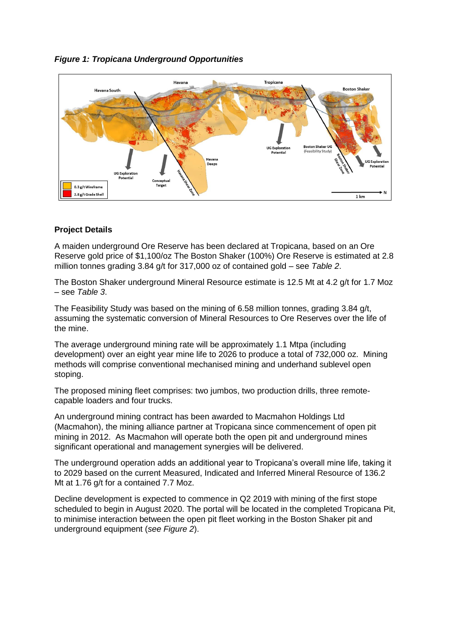

### *Figure 1: Tropicana Underground Opportunities*

#### **Project Details**

A maiden underground Ore Reserve has been declared at Tropicana, based on an Ore Reserve gold price of \$1,100/oz The Boston Shaker (100%) Ore Reserve is estimated at 2.8 million tonnes grading 3.84 g/t for 317,000 oz of contained gold – see *Table 2*.

The Boston Shaker underground Mineral Resource estimate is 12.5 Mt at 4.2 g/t for 1.7 Moz – see *Table 3*.

The Feasibility Study was based on the mining of 6.58 million tonnes, grading 3.84 g/t, assuming the systematic conversion of Mineral Resources to Ore Reserves over the life of the mine.

The average underground mining rate will be approximately 1.1 Mtpa (including development) over an eight year mine life to 2026 to produce a total of 732,000 oz. Mining methods will comprise conventional mechanised mining and underhand sublevel open stoping.

The proposed mining fleet comprises: two jumbos, two production drills, three remotecapable loaders and four trucks.

An underground mining contract has been awarded to Macmahon Holdings Ltd (Macmahon), the mining alliance partner at Tropicana since commencement of open pit mining in 2012. As Macmahon will operate both the open pit and underground mines significant operational and management synergies will be delivered.

The underground operation adds an additional year to Tropicana's overall mine life, taking it to 2029 based on the current Measured, Indicated and Inferred Mineral Resource of 136.2 Mt at 1.76 g/t for a contained 7.7 Moz.

Decline development is expected to commence in Q2 2019 with mining of the first stope scheduled to begin in August 2020. The portal will be located in the completed Tropicana Pit, to minimise interaction between the open pit fleet working in the Boston Shaker pit and underground equipment (*see Figure 2*).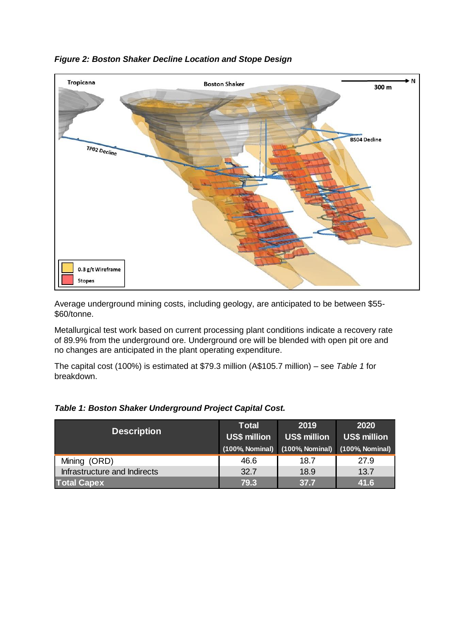

### *Figure 2: Boston Shaker Decline Location and Stope Design*

Average underground mining costs, including geology, are anticipated to be between \$55- \$60/tonne.

Metallurgical test work based on current processing plant conditions indicate a recovery rate of 89.9% from the underground ore. Underground ore will be blended with open pit ore and no changes are anticipated in the plant operating expenditure.

The capital cost (100%) is estimated at \$79.3 million (A\$105.7 million) – see *Table 1* for breakdown.

| <b>Description</b>           | <b>Total</b><br><b>US\$ million</b><br>(100%, Nominal) | 2019<br><b>US\$ million</b><br>(100%, Nominal) (100%, Nominal) | 2020<br><b>US\$ million</b> |
|------------------------------|--------------------------------------------------------|----------------------------------------------------------------|-----------------------------|
| Mining (ORD)                 | 46.6                                                   | 18.7                                                           | 27.9                        |
| Infrastructure and Indirects | 32.7                                                   | 18.9                                                           | 13.7                        |
| <b>Total Capex</b>           | 79.3                                                   | 37.7                                                           | 41.6                        |

#### *Table 1: Boston Shaker Underground Project Capital Cost.*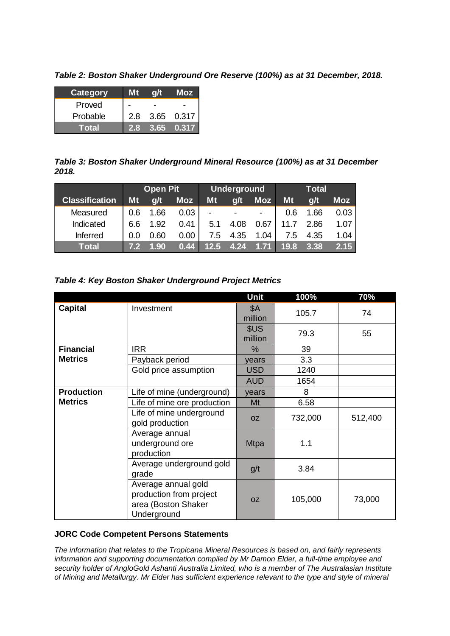*Table 2: Boston Shaker Underground Ore Reserve (100%) as at 31 December, 2018.*

| Category |     |      | Moz   |
|----------|-----|------|-------|
| Proved   |     |      |       |
| Probable | 2.8 | 3.65 | 0.317 |
| Total    |     | 3.65 | 0.317 |

*Table 3: Boston Shaker Underground Mineral Resource (100%) as at 31 December 2018.*

| 2018.                 |     |                 | ້          |      |                    |            |      |              |            |
|-----------------------|-----|-----------------|------------|------|--------------------|------------|------|--------------|------------|
|                       |     | <b>Open Pit</b> |            |      | <b>Underground</b> |            |      | <b>Total</b> |            |
| <b>Classification</b> | Mt  | q/t             | <b>Moz</b> | Mt   | g/t                | <b>Moz</b> | Mt   | g/t          | <b>Moz</b> |
| Measured              | 0.6 | 1.66            | 0.03       | -    |                    | ۰          | 0.6  | 1.66         | 0.03       |
| Indicated             | 6.6 | 1.92            | 0.41       | 5.1  | 4.08               | 0.67       | 11.7 | 2.86         | 1.07       |
| <b>Inferred</b>       | 0.0 | 0.60            | 0.00       | 7.5  | 4.35               | 1.04       | 7.5  | 4.35         | 1.04       |
| <b>Total</b>          | 7.2 | 1.90            | 0.44       | 12.5 | 4.24               |            | 19.8 | 3.38         | 2.15       |

| Table 4: Key Boston Shaker Underground Project Metrics |  |  |
|--------------------------------------------------------|--|--|
|--------------------------------------------------------|--|--|

|                   |                                                                                      | Unit                  | 100%    | 70%     |
|-------------------|--------------------------------------------------------------------------------------|-----------------------|---------|---------|
| <b>Capital</b>    | Investment                                                                           | <b>\$A</b><br>million | 105.7   | 74      |
|                   |                                                                                      | \$US<br>million       | 79.3    | 55      |
| <b>Financial</b>  | <b>IRR</b>                                                                           | $\%$                  | 39      |         |
| <b>Metrics</b>    | Payback period                                                                       | years                 | 3.3     |         |
|                   | Gold price assumption                                                                | <b>USD</b>            | 1240    |         |
|                   |                                                                                      | <b>AUD</b>            | 1654    |         |
| <b>Production</b> | Life of mine (underground)                                                           | years                 | 8       |         |
| <b>Metrics</b>    | Life of mine ore production                                                          | Mt                    | 6.58    |         |
|                   | Life of mine underground<br>gold production                                          | <b>OZ</b>             | 732,000 | 512,400 |
|                   | Average annual<br>underground ore<br>production                                      | <b>Mtpa</b>           | 1.1     |         |
|                   | Average underground gold<br>grade                                                    | g/t                   | 3.84    |         |
|                   | Average annual gold<br>production from project<br>area (Boston Shaker<br>Underground | <b>OZ</b>             | 105,000 | 73,000  |

#### **JORC Code Competent Persons Statements**

*The information that relates to the Tropicana Mineral Resources is based on, and fairly represents information and supporting documentation compiled by Mr Damon Elder, a full-time employee and security holder of AngloGold Ashanti Australia Limited, who is a member of The Australasian Institute of Mining and Metallurgy. Mr Elder has sufficient experience relevant to the type and style of mineral*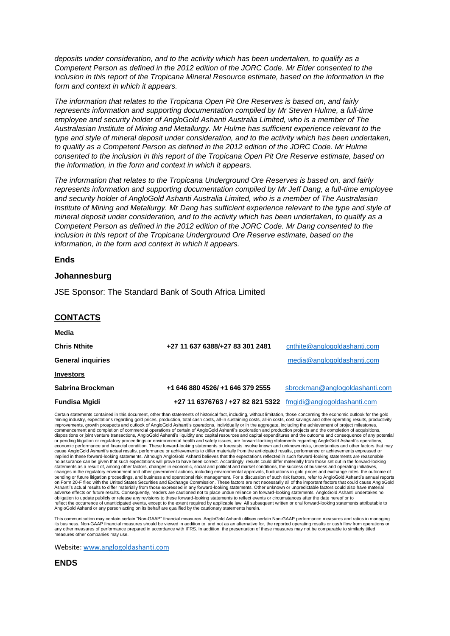*deposits under consideration, and to the activity which has been undertaken, to qualify as a Competent Person as defined in the 2012 edition of the JORC Code. Mr Elder consented to the inclusion in this report of the Tropicana Mineral Resource estimate, based on the information in the form and context in which it appears.*

*The information that relates to the Tropicana Open Pit Ore Reserves is based on, and fairly represents information and supporting documentation compiled by Mr Steven Hulme, a full-time employee and security holder of AngloGold Ashanti Australia Limited, who is a member of The Australasian Institute of Mining and Metallurgy. Mr Hulme has sufficient experience relevant to the type and style of mineral deposit under consideration, and to the activity which has been undertaken, to qualify as a Competent Person as defined in the 2012 edition of the JORC Code. Mr Hulme consented to the inclusion in this report of the Tropicana Open Pit Ore Reserve estimate, based on the information, in the form and context in which it appears.*

*The information that relates to the Tropicana Underground Ore Reserves is based on, and fairly represents information and supporting documentation compiled by Mr Jeff Dang, a full-time employee and security holder of AngloGold Ashanti Australia Limited, who is a member of The Australasian Institute of Mining and Metallurgy. Mr Dang has sufficient experience relevant to the type and style of mineral deposit under consideration, and to the activity which has been undertaken, to qualify as a Competent Person as defined in the 2012 edition of the JORC Code. Mr Dang consented to the inclusion in this report of the Tropicana Underground Ore Reserve estimate, based on the information, in the form and context in which it appears.*

#### **Ends**

#### **Johannesburg**

JSE Sponsor: The Standard Bank of South Africa Limited

#### **CONTACTS**

| <u>Media</u>             |                                                              |                                |
|--------------------------|--------------------------------------------------------------|--------------------------------|
| <b>Chris Nthite</b>      | +27 11 637 6388/+27 83 301 2481                              | cnthite@anglogoldashanti.com   |
| <b>General inquiries</b> |                                                              | media@anglogoldashanti.com     |
| <b>Investors</b>         |                                                              |                                |
| Sabrina Brockman         | +1 646 880 4526/ +1 646 379 2555                             | sbrockman@anglogoldashanti.com |
| <b>Fundisa Mgidi</b>     | +27 11 6376763 / +27 82 821 5322 fmgidi@anglogoldashanti.com |                                |

Certain statements contained in this document, other than statements of historical fact, including, without limitation, those concerning the economic outlook for the gold mining industry, expectations regarding gold prices, production, total cash costs, all-in sustaining costs, all-in costs, cost savings and other operating results, product improvements, growth prospects and outlook of AngloGold Ashanti's operations, individually or in the aggregate, including the achievement of project milestones,<br>commencement and completion of commercial operations of certa dispositions or joint venture transactions, AngloGold Ashanti's liquidity and capital resources and capital expenditures and the outcome and consequence of any potential or pending litigation or regulatory proceedings or environmental health and safety issues, are forward-looking statements regarding AngloGold Ashanti's operations, economic performance and financial condition. These forward-looking statements or forecasts involve known and unknown risks, uncertainties and other factors that may cause AngloGold Ashanti's actual results, performance or achievements to differ materially from the anticipated results, performance or achievements expressed or implied in these forward-looking statements. Although AngloGold Ashanti believes that the expectations reflected in such forward-looking statements are reasonable,<br>no assurance can be given that such expectations will prov changes in the regulatory environment and other government actions, including environmental approvals, fluctuations in gold prices and exchange rates, the outcome of<br>pending or future litigation proceedings, and business a on Form 20-F filed with the United States Securities and Exchange Commission. These factors are not necessarily all of the important factors that could cause AngloGold<br>Ashanti's actual results to differ materially from tho adverse effects on future results. Consequently, readers are cautioned not to place undue reliance on forward-looking statements. AngloGold Ashanti undertakes no<br>obligation to update publicly or release any revisions to th AngloGold Ashanti or any person acting on its behalf are qualified by the cautionary statements herein.

This communication may contain certain "Non-GAAP" financial measures. AngloGold Ashanti utilises certain Non-GAAP performance measures and ratios in managing<br>its business. Non-GAAP financial measures should be viewed in ad any other measures of performance prepared in accordance with IFRS. In addition, the presentation of these measures may not be comparable to similarly titled measures other companies may use.

Website[: www.anglogoldashanti.com](http://www.anglogoldashanti.com/)

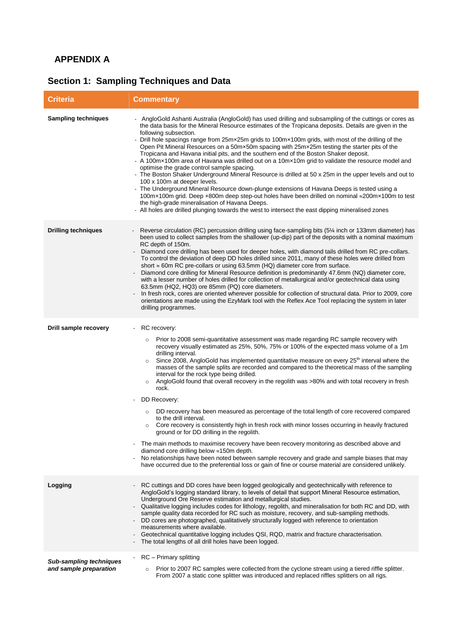### **APPENDIX A**

# **Section 1: Sampling Techniques and Data**

| <b>Criteria</b>                                          | <b>Commentary</b>                                                                                                                                                                                                                                                                                                                                                                                                                                                                                                                                                                                                                                                                                                                                                                                                                                                                                                                                                                                                                                                                                                                                                                                                                                                                                                                |
|----------------------------------------------------------|----------------------------------------------------------------------------------------------------------------------------------------------------------------------------------------------------------------------------------------------------------------------------------------------------------------------------------------------------------------------------------------------------------------------------------------------------------------------------------------------------------------------------------------------------------------------------------------------------------------------------------------------------------------------------------------------------------------------------------------------------------------------------------------------------------------------------------------------------------------------------------------------------------------------------------------------------------------------------------------------------------------------------------------------------------------------------------------------------------------------------------------------------------------------------------------------------------------------------------------------------------------------------------------------------------------------------------|
| <b>Sampling techniques</b>                               | AngloGold Ashanti Australia (AngloGold) has used drilling and subsampling of the cuttings or cores as<br>the data basis for the Mineral Resource estimates of the Tropicana deposits. Details are given in the<br>following subsection.<br>- Drill hole spacings range from 25mx25m grids to 100mx100m grids, with most of the drilling of the<br>Open Pit Mineral Resources on a 50mx50m spacing with 25mx25m testing the starter pits of the<br>Tropicana and Havana initial pits, and the southern end of the Boston Shaker deposit.<br>- A 100m×100m area of Havana was drilled out on a 10m×10m grid to validate the resource model and<br>optimise the grade control sample spacing.<br>- The Boston Shaker Underground Mineral Resource is drilled at 50 x 25m in the upper levels and out to<br>100 x 100m at deeper levels.<br>- The Underground Mineral Resource down-plunge extensions of Havana Deeps is tested using a<br>100m×100m grid. Deep +800m deep step-out holes have been drilled on nominal ≈200m×100m to test<br>the high-grade mineralisation of Havana Deeps.<br>- All holes are drilled plunging towards the west to intersect the east dipping mineralised zones                                                                                                                                     |
| <b>Drilling techniques</b>                               | Reverse circulation (RC) percussion drilling using face-sampling bits (5¼ inch or 133mm diameter) has<br>been used to collect samples from the shallower (up-dip) part of the deposits with a nominal maximum<br>RC depth of 150m.<br>Diamond core drilling has been used for deeper holes, with diamond tails drilled from RC pre-collars.<br>To control the deviation of deep DD holes drilled since 2011, many of these holes were drilled from<br>short $\approx$ 60m RC pre-collars or using 63.5mm (HQ) diameter core from surface.<br>Diamond core drilling for Mineral Resource definition is predominantly 47.6mm (NQ) diameter core,<br>with a lesser number of holes drilled for collection of metallurgical and/or geotechnical data using<br>63.5mm (HQ2, HQ3) ore 85mm (PQ) core diameters.<br>In fresh rock, cores are oriented wherever possible for collection of structural data. Prior to 2009, core<br>orientations are made using the EzyMark tool with the Reflex Ace Tool replacing the system in later<br>drilling programmes.                                                                                                                                                                                                                                                                           |
| Drill sample recovery                                    | RC recovery:<br>$\overline{\phantom{a}}$<br>Prior to 2008 semi-quantitative assessment was made regarding RC sample recovery with<br>$\circ$<br>recovery visually estimated as 25%, 50%, 75% or 100% of the expected mass volume of a 1m<br>drilling interval.<br>Since 2008, AngloGold has implemented quantitative measure on every 25 <sup>th</sup> interval where the<br>$\circ$<br>masses of the sample splits are recorded and compared to the theoretical mass of the sampling<br>interval for the rock type being drilled.<br>AngloGold found that overall recovery in the regolith was >80% and with total recovery in fresh<br>$\circ$<br>rock.<br>DD Recovery:<br>DD recovery has been measured as percentage of the total length of core recovered compared<br>$\circ$<br>to the drill interval.<br>Core recovery is consistently high in fresh rock with minor losses occurring in heavily fractured<br>$\Omega$<br>ground or for DD drilling in the regolith.<br>The main methods to maximise recovery have been recovery monitoring as described above and<br>diamond core drilling below ≈150m depth.<br>No relationships have been noted between sample recovery and grade and sample biases that may<br>have occurred due to the preferential loss or gain of fine or course material are considered unlikely. |
| Logging                                                  | RC cuttings and DD cores have been logged geologically and geotechnically with reference to<br>AngloGold's logging standard library, to levels of detail that support Mineral Resource estimation,<br>Underground Ore Reserve estimation and metallurgical studies.<br>Qualitative logging includes codes for lithology, regolith, and mineralisation for both RC and DD, with<br>sample quality data recorded for RC such as moisture, recovery, and sub-sampling methods.<br>DD cores are photographed, qualitatively structurally logged with reference to orientation<br>measurements where available.<br>Geotechnical quantitative logging includes QSI, RQD, matrix and fracture characterisation.<br>The total lengths of all drill holes have been logged.                                                                                                                                                                                                                                                                                                                                                                                                                                                                                                                                                               |
| <b>Sub-sampling techniques</b><br>and sample preparation | RC - Primary splitting<br>Prior to 2007 RC samples were collected from the cyclone stream using a tiered riffle splitter.<br>$\circ$<br>From 2007 a static cone splitter was introduced and replaced riffles splitters on all rigs.                                                                                                                                                                                                                                                                                                                                                                                                                                                                                                                                                                                                                                                                                                                                                                                                                                                                                                                                                                                                                                                                                              |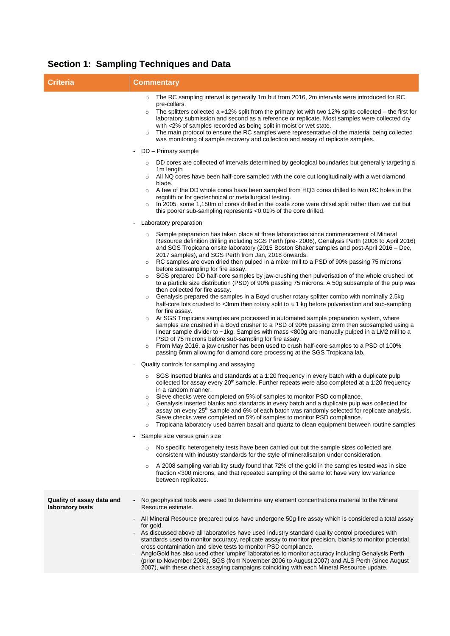# **Section 1: Sampling Techniques and Data**

| <b>Criteria</b>                               | <b>Commentary</b>                                                                                                                                                                                                                                                                                                                                                                                                                                                                                                                                                                                                                                                                                                                                                                                                                                                                                                                                                                                                                                                                                                                                                                                                                                                                                                                                                                                                                                                                                                                                                                                                                                                                                                                                                                                                                                                                                                                                                                                                                                                                                                                                                                                                                                                                                                                                                                                                                                                                                                                                                                           |
|-----------------------------------------------|---------------------------------------------------------------------------------------------------------------------------------------------------------------------------------------------------------------------------------------------------------------------------------------------------------------------------------------------------------------------------------------------------------------------------------------------------------------------------------------------------------------------------------------------------------------------------------------------------------------------------------------------------------------------------------------------------------------------------------------------------------------------------------------------------------------------------------------------------------------------------------------------------------------------------------------------------------------------------------------------------------------------------------------------------------------------------------------------------------------------------------------------------------------------------------------------------------------------------------------------------------------------------------------------------------------------------------------------------------------------------------------------------------------------------------------------------------------------------------------------------------------------------------------------------------------------------------------------------------------------------------------------------------------------------------------------------------------------------------------------------------------------------------------------------------------------------------------------------------------------------------------------------------------------------------------------------------------------------------------------------------------------------------------------------------------------------------------------------------------------------------------------------------------------------------------------------------------------------------------------------------------------------------------------------------------------------------------------------------------------------------------------------------------------------------------------------------------------------------------------------------------------------------------------------------------------------------------------|
|                                               | The RC sampling interval is generally 1m but from 2016, 2m intervals were introduced for RC<br>$\circ$<br>pre-collars.<br>The splitters collected a $\approx$ 12% split from the primary lot with two 12% splits collected – the first for<br>$\circ$<br>laboratory submission and second as a reference or replicate. Most samples were collected dry<br>with <2% of samples recorded as being split in moist or wet state.<br>The main protocol to ensure the RC samples were representative of the material being collected<br>$\circ$<br>was monitoring of sample recovery and collection and assay of replicate samples.<br>DD - Primary sample                                                                                                                                                                                                                                                                                                                                                                                                                                                                                                                                                                                                                                                                                                                                                                                                                                                                                                                                                                                                                                                                                                                                                                                                                                                                                                                                                                                                                                                                                                                                                                                                                                                                                                                                                                                                                                                                                                                                        |
|                                               | DD cores are collected of intervals determined by geological boundaries but generally targeting a<br>$\circ$<br>1m length<br>All NQ cores have been half-core sampled with the core cut longitudinally with a wet diamond<br>blade.<br>A few of the DD whole cores have been sampled from HQ3 cores drilled to twin RC holes in the<br>$\circ$<br>regolith or for geotechnical or metallurgical testing.<br>In 2005, some 1,150m of cores drilled in the oxide zone were chisel split rather than wet cut but<br>$\circ$<br>this poorer sub-sampling represents <0.01% of the core drilled.                                                                                                                                                                                                                                                                                                                                                                                                                                                                                                                                                                                                                                                                                                                                                                                                                                                                                                                                                                                                                                                                                                                                                                                                                                                                                                                                                                                                                                                                                                                                                                                                                                                                                                                                                                                                                                                                                                                                                                                                 |
|                                               | Laboratory preparation<br>Sample preparation has taken place at three laboratories since commencement of Mineral<br>Resource definition drilling including SGS Perth (pre- 2006), Genalysis Perth (2006 to April 2016)<br>and SGS Tropicana onsite laboratory (2015 Boston Shaker samples and post-April 2016 – Dec,<br>2017 samples), and SGS Perth from Jan, 2018 onwards.<br>RC samples are oven dried then pulped in a mixer mill to a PSD of 90% passing 75 microns<br>$\circ$<br>before subsampling for fire assay.<br>SGS prepared DD half-core samples by jaw-crushing then pulverisation of the whole crushed lot<br>to a particle size distribution (PSD) of 90% passing 75 microns. A 50g subsample of the pulp was<br>then collected for fire assay.<br>Genalysis prepared the samples in a Boyd crusher rotary splitter combo with nominally 2.5kg<br>$\circ$<br>half-core lots crushed to <3mm then rotary split to $\approx$ 1 kg before pulverisation and sub-sampling<br>for fire assay.<br>At SGS Tropicana samples are processed in automated sample preparation system, where<br>samples are crushed in a Boyd crusher to a PSD of 90% passing 2mm then subsampled using a<br>linear sample divider to ~1kg. Samples with mass <800g are manually pulped in a LM2 mill to a<br>PSD of 75 microns before sub-sampling for fire assay.<br>From May 2016, a jaw crusher has been used to crush half-core samples to a PSD of 100%<br>$\circ$<br>passing 6mm allowing for diamond core processing at the SGS Tropicana lab.<br>Quality controls for sampling and assaying<br>SGS inserted blanks and standards at a 1:20 frequency in every batch with a duplicate pulp<br>$\circ$<br>collected for assay every 20 <sup>th</sup> sample. Further repeats were also completed at a 1:20 frequency<br>in a random manner.<br>Sieve checks were completed on 5% of samples to monitor PSD compliance.<br>O<br>Genalysis inserted blanks and standards in every batch and a duplicate pulp was collected for<br>assay on every 25 <sup>th</sup> sample and 6% of each batch was randomly selected for replicate analysis.<br>Sieve checks were completed on 5% of samples to monitor PSD compliance.<br>Tropicana laboratory used barren basalt and quartz to clean equipment between routine samples<br>$\circ$<br>Sample size versus grain size<br>$\overline{\phantom{a}}$<br>No specific heterogeneity tests have been carried out but the sample sizes collected are<br>$\circ$<br>consistent with industry standards for the style of mineralisation under consideration. |
|                                               | A 2008 sampling variability study found that 72% of the gold in the samples tested was in size<br>$\circ$<br>fraction <300 microns, and that repeated sampling of the same lot have very low variance<br>between replicates.                                                                                                                                                                                                                                                                                                                                                                                                                                                                                                                                                                                                                                                                                                                                                                                                                                                                                                                                                                                                                                                                                                                                                                                                                                                                                                                                                                                                                                                                                                                                                                                                                                                                                                                                                                                                                                                                                                                                                                                                                                                                                                                                                                                                                                                                                                                                                                |
| Quality of assay data and<br>laboratory tests | No geophysical tools were used to determine any element concentrations material to the Mineral<br>Resource estimate.<br>All Mineral Resource prepared pulps have undergone 50g fire assay which is considered a total assay<br>for gold.<br>As discussed above all laboratories have used industry standard quality control procedures with<br>standards used to monitor accuracy, replicate assay to monitor precision, blanks to monitor potential<br>cross contamination and sieve tests to monitor PSD compliance.<br>AngloGold has also used other 'umpire' laboratories to monitor accuracy including Genalysis Perth<br>(prior to November 2006), SGS (from November 2006 to August 2007) and ALS Perth (since August<br>2007), with these check assaying campaigns coinciding with each Mineral Resource update.                                                                                                                                                                                                                                                                                                                                                                                                                                                                                                                                                                                                                                                                                                                                                                                                                                                                                                                                                                                                                                                                                                                                                                                                                                                                                                                                                                                                                                                                                                                                                                                                                                                                                                                                                                    |
|                                               |                                                                                                                                                                                                                                                                                                                                                                                                                                                                                                                                                                                                                                                                                                                                                                                                                                                                                                                                                                                                                                                                                                                                                                                                                                                                                                                                                                                                                                                                                                                                                                                                                                                                                                                                                                                                                                                                                                                                                                                                                                                                                                                                                                                                                                                                                                                                                                                                                                                                                                                                                                                             |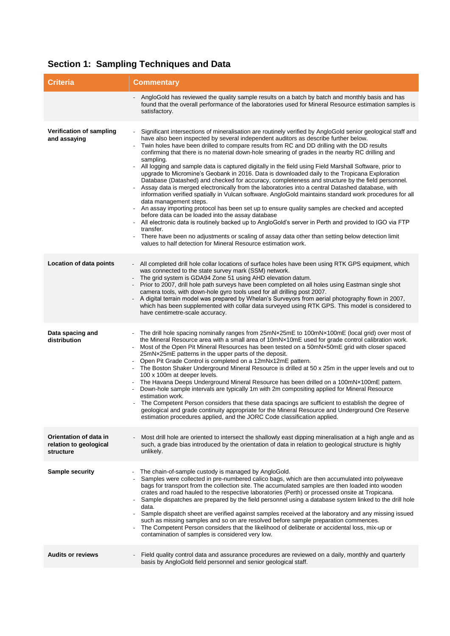|  |  | <b>Section 1: Sampling Techniques and Data</b> |  |
|--|--|------------------------------------------------|--|
|--|--|------------------------------------------------|--|

| <b>Criteria</b>                                               | <b>Commentary</b>                                                                                                                                                                                                                                                                                                                                                                                                                                                                                                                                                                                                                                                                                                                                                                                                                                                                                                                                                                                                                                                                                                                                                                                                                                                                                                                                                                                                            |
|---------------------------------------------------------------|------------------------------------------------------------------------------------------------------------------------------------------------------------------------------------------------------------------------------------------------------------------------------------------------------------------------------------------------------------------------------------------------------------------------------------------------------------------------------------------------------------------------------------------------------------------------------------------------------------------------------------------------------------------------------------------------------------------------------------------------------------------------------------------------------------------------------------------------------------------------------------------------------------------------------------------------------------------------------------------------------------------------------------------------------------------------------------------------------------------------------------------------------------------------------------------------------------------------------------------------------------------------------------------------------------------------------------------------------------------------------------------------------------------------------|
|                                                               | AngloGold has reviewed the quality sample results on a batch by batch and monthly basis and has<br>found that the overall performance of the laboratories used for Mineral Resource estimation samples is<br>satisfactory.                                                                                                                                                                                                                                                                                                                                                                                                                                                                                                                                                                                                                                                                                                                                                                                                                                                                                                                                                                                                                                                                                                                                                                                                   |
| Verification of sampling<br>and assaying                      | Significant intersections of mineralisation are routinely verified by AngloGold senior geological staff and<br>have also been inspected by several independent auditors as describe further below.<br>Twin holes have been drilled to compare results from RC and DD drilling with the DD results<br>confirming that there is no material down-hole smearing of grades in the nearby RC drilling and<br>sampling.<br>All logging and sample data is captured digitally in the field using Field Marshall Software, prior to<br>upgrade to Micromine's Geobank in 2016. Data is downloaded daily to the Tropicana Exploration<br>Database (Datashed) and checked for accuracy, completeness and structure by the field personnel.<br>Assay data is merged electronically from the laboratories into a central Datashed database, with<br>information verified spatially in Vulcan software. AngloGold maintains standard work procedures for all<br>data management steps.<br>An assay importing protocol has been set up to ensure quality samples are checked and accepted<br>before data can be loaded into the assay database<br>All electronic data is routinely backed up to AngloGold's server in Perth and provided to IGO via FTP<br>transfer.<br>There have been no adjustments or scaling of assay data other than setting below detection limit<br>values to half detection for Mineral Resource estimation work. |
| Location of data points                                       | All completed drill hole collar locations of surface holes have been using RTK GPS equipment, which<br>was connected to the state survey mark (SSM) network.<br>The grid system is GDA94 Zone 51 using AHD elevation datum.<br>Prior to 2007, drill hole path surveys have been completed on all holes using Eastman single shot<br>camera tools, with down-hole gyro tools used for all drilling post 2007.<br>A digital terrain model was prepared by Whelan's Surveyors from aerial photography flown in 2007,<br>which has been supplemented with collar data surveyed using RTK GPS. This model is considered to<br>have centimetre-scale accuracy.                                                                                                                                                                                                                                                                                                                                                                                                                                                                                                                                                                                                                                                                                                                                                                     |
| Data spacing and<br>distribution                              | The drill hole spacing nominally ranges from 25mNx25mE to 100mNx100mE (local grid) over most of<br>the Mineral Resource area with a small area of 10mNx10mE used for grade control calibration work.<br>Most of the Open Pit Mineral Resources has been tested on a 50mNx50mE grid with closer spaced<br>25mNx25mE patterns in the upper parts of the deposit.<br>Open Pit Grade Control is completed on a 12mNx12mE pattern.<br>The Boston Shaker Underground Mineral Resource is drilled at 50 x 25m in the upper levels and out to<br>100 x 100m at deeper levels.<br>The Havana Deeps Underground Mineral Resource has been drilled on a 100mNx100mE pattern.<br>Down-hole sample intervals are typically 1m with 2m compositing applied for Mineral Resource<br>estimation work.<br>The Competent Person considers that these data spacings are sufficient to establish the degree of<br>geological and grade continuity appropriate for the Mineral Resource and Underground Ore Reserve<br>estimation procedures applied, and the JORC Code classification applied.                                                                                                                                                                                                                                                                                                                                                   |
| Orientation of data in<br>relation to geological<br>structure | Most drill hole are oriented to intersect the shallowly east dipping mineralisation at a high angle and as<br>such, a grade bias introduced by the orientation of data in relation to geological structure is highly<br>unlikely.                                                                                                                                                                                                                                                                                                                                                                                                                                                                                                                                                                                                                                                                                                                                                                                                                                                                                                                                                                                                                                                                                                                                                                                            |
| <b>Sample security</b>                                        | The chain-of-sample custody is managed by AngloGold.<br>Samples were collected in pre-numbered calico bags, which are then accumulated into polyweave<br>bags for transport from the collection site. The accumulated samples are then loaded into wooden<br>crates and road hauled to the respective laboratories (Perth) or processed onsite at Tropicana.<br>Sample dispatches are prepared by the field personnel using a database system linked to the drill hole<br>data.<br>Sample dispatch sheet are verified against samples received at the laboratory and any missing issued<br>such as missing samples and so on are resolved before sample preparation commences.<br>The Competent Person considers that the likelihood of deliberate or accidental loss, mix-up or<br>contamination of samples is considered very low.                                                                                                                                                                                                                                                                                                                                                                                                                                                                                                                                                                                         |
| <b>Audits or reviews</b>                                      | Field quality control data and assurance procedures are reviewed on a daily, monthly and quarterly<br>basis by AngloGold field personnel and senior geological staff.                                                                                                                                                                                                                                                                                                                                                                                                                                                                                                                                                                                                                                                                                                                                                                                                                                                                                                                                                                                                                                                                                                                                                                                                                                                        |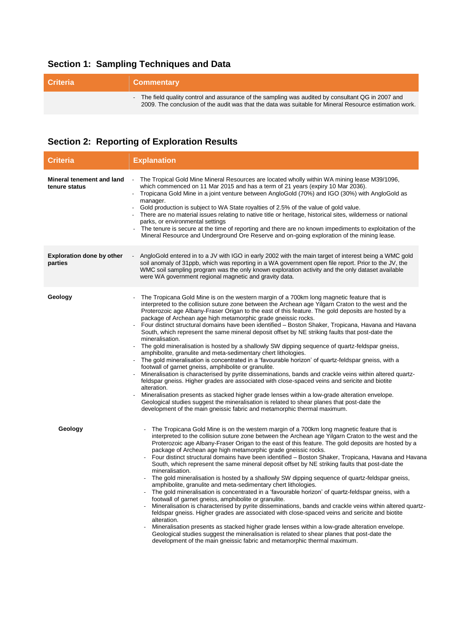# **Section 1: Sampling Techniques and Data**

| <b>Criteria</b> | <b>Commentary</b>                                                                                                                                                                                            |
|-----------------|--------------------------------------------------------------------------------------------------------------------------------------------------------------------------------------------------------------|
|                 | - The field quality control and assurance of the sampling was audited by consultant QG in 2007 and<br>2009. The conclusion of the audit was that the data was suitable for Mineral Resource estimation work. |

# **Section 2: Reporting of Exploration Results**

| <b>Criteria</b>                             | <b>Explanation</b>                                                                                                                                                                                                                                                                                                                                                                                                                                                                                                                                                                                                                                                                                                                                                                                                                                                                                                                                                                                                                                                                                                                                                                                                                                                                                                                                                                                                                                  |
|---------------------------------------------|-----------------------------------------------------------------------------------------------------------------------------------------------------------------------------------------------------------------------------------------------------------------------------------------------------------------------------------------------------------------------------------------------------------------------------------------------------------------------------------------------------------------------------------------------------------------------------------------------------------------------------------------------------------------------------------------------------------------------------------------------------------------------------------------------------------------------------------------------------------------------------------------------------------------------------------------------------------------------------------------------------------------------------------------------------------------------------------------------------------------------------------------------------------------------------------------------------------------------------------------------------------------------------------------------------------------------------------------------------------------------------------------------------------------------------------------------------|
| Mineral tenement and land<br>tenure status  | $\mathcal{L}$<br>The Tropical Gold Mine Mineral Resources are located wholly within WA mining lease M39/1096,<br>which commenced on 11 Mar 2015 and has a term of 21 years (expiry 10 Mar 2036).<br>Tropicana Gold Mine in a joint venture between AngloGold (70%) and IGO (30%) with AngloGold as<br>$\blacksquare$<br>manager.<br>Gold production is subject to WA State royalties of 2.5% of the value of gold value.<br>There are no material issues relating to native title or heritage, historical sites, wilderness or national<br>parks, or environmental settings<br>The tenure is secure at the time of reporting and there are no known impediments to exploitation of the<br>Mineral Resource and Underground Ore Reserve and on-going exploration of the mining lease.                                                                                                                                                                                                                                                                                                                                                                                                                                                                                                                                                                                                                                                                |
| <b>Exploration done by other</b><br>parties | AngloGold entered in to a JV with IGO in early 2002 with the main target of interest being a WMC gold<br>soil anomaly of 31ppb, which was reporting in a WA government open file report. Prior to the JV, the<br>WMC soil sampling program was the only known exploration activity and the only dataset available<br>were WA government regional magnetic and gravity data.                                                                                                                                                                                                                                                                                                                                                                                                                                                                                                                                                                                                                                                                                                                                                                                                                                                                                                                                                                                                                                                                         |
| Geology                                     | The Tropicana Gold Mine is on the western margin of a 700km long magnetic feature that is<br>interpreted to the collision suture zone between the Archean age Yilgarn Craton to the west and the<br>Proterozoic age Albany-Fraser Origan to the east of this feature. The gold deposits are hosted by a<br>package of Archean age high metamorphic grade gneissic rocks.<br>Four distinct structural domains have been identified – Boston Shaker, Tropicana, Havana and Havana<br>South, which represent the same mineral deposit offset by NE striking faults that post-date the<br>mineralisation.<br>The gold mineralisation is hosted by a shallowly SW dipping sequence of quartz-feldspar gneiss,<br>amphibolite, granulite and meta-sedimentary chert lithologies.<br>The gold mineralisation is concentrated in a 'favourable horizon' of quartz-feldspar gneiss, with a<br>footwall of garnet gneiss, amphibolite or granulite.<br>Mineralisation is characterised by pyrite disseminations, bands and crackle veins within altered quartz-<br>feldspar gneiss. Higher grades are associated with close-spaced veins and sericite and biotite<br>alteration.<br>Mineralisation presents as stacked higher grade lenses within a low-grade alteration envelope.<br>Geological studies suggest the mineralisation is related to shear planes that post-date the<br>development of the main gneissic fabric and metamorphic thermal maximum. |
| Geology                                     | The Tropicana Gold Mine is on the western margin of a 700km long magnetic feature that is<br>interpreted to the collision suture zone between the Archean age Yilgarn Craton to the west and the<br>Proterozoic age Albany-Fraser Origan to the east of this feature. The gold deposits are hosted by a<br>package of Archean age high metamorphic grade gneissic rocks.<br>Four distinct structural domains have been identified - Boston Shaker, Tropicana, Havana and Havana<br>South, which represent the same mineral deposit offset by NE striking faults that post-date the<br>mineralisation.<br>The gold mineralisation is hosted by a shallowly SW dipping sequence of quartz-feldspar gneiss,<br>amphibolite, granulite and meta-sedimentary chert lithologies.<br>The gold mineralisation is concentrated in a 'favourable horizon' of quartz-feldspar gneiss, with a<br>footwall of garnet gneiss, amphibolite or granulite.<br>Mineralisation is characterised by pyrite disseminations, bands and crackle veins within altered quartz-<br>feldspar gneiss. Higher grades are associated with close-spaced veins and sericite and biotite<br>alteration.<br>Mineralisation presents as stacked higher grade lenses within a low-grade alteration envelope.<br>Geological studies suggest the mineralisation is related to shear planes that post-date the<br>development of the main gneissic fabric and metamorphic thermal maximum. |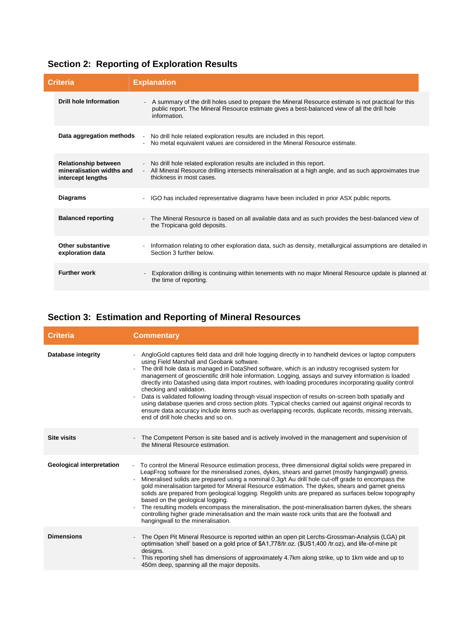|  |  | <b>Section 2: Reporting of Exploration Results</b> |  |
|--|--|----------------------------------------------------|--|
|--|--|----------------------------------------------------|--|

| Criteria                                                                      | <b>Explanation</b>                                                                                                                                                                                                    |
|-------------------------------------------------------------------------------|-----------------------------------------------------------------------------------------------------------------------------------------------------------------------------------------------------------------------|
| <b>Drill hole Information</b>                                                 | A summary of the drill holes used to prepare the Mineral Resource estimate is not practical for this<br>public report. The Mineral Resource estimate gives a best-balanced view of all the drill hole<br>information. |
| Data aggregation methods                                                      | - No drill hole related exploration results are included in this report.<br>- No metal equivalent values are considered in the Mineral Resource estimate.                                                             |
| <b>Relationship between</b><br>mineralisation widths and<br>intercept lengths | - No drill hole related exploration results are included in this report.<br>- All Mineral Resource drilling intersects mineralisation at a high angle, and as such approximates true<br>thickness in most cases.      |
| <b>Diagrams</b>                                                               | - IGO has included representative diagrams have been included in prior ASX public reports.                                                                                                                            |
| <b>Balanced reporting</b>                                                     | - The Mineral Resource is based on all available data and as such provides the best-balanced view of<br>the Tropicana gold deposits.                                                                                  |
| Other substantive<br>exploration data                                         | Information relating to other exploration data, such as density, metallurgical assumptions are detailed in<br>Section 3 further below.                                                                                |
| <b>Further work</b>                                                           | Exploration drilling is continuing within tenements with no major Mineral Resource update is planned at<br>the time of reporting.                                                                                     |

# **Section 3: Estimation and Reporting of Mineral Resources**

| <b>Criteria</b>                  | <b>Commentary</b>                                                                                                                                                                                                                                                                                                                                                                                                                                                                                                                                                                                                                                                                                                                                                                                                                                                              |
|----------------------------------|--------------------------------------------------------------------------------------------------------------------------------------------------------------------------------------------------------------------------------------------------------------------------------------------------------------------------------------------------------------------------------------------------------------------------------------------------------------------------------------------------------------------------------------------------------------------------------------------------------------------------------------------------------------------------------------------------------------------------------------------------------------------------------------------------------------------------------------------------------------------------------|
| <b>Database integrity</b>        | - AngloGold captures field data and drill hole logging directly in to handheld devices or laptop computers<br>using Field Marshall and Geobank software.<br>The drill hole data is managed in DataShed software, which is an industry recognised system for<br>management of geoscientific drill hole information. Logging, assays and survey information is loaded<br>directly into Datashed using data import routines, with loading procedures incorporating quality control<br>checking and validation.<br>Data is validated following loading through visual inspection of results on-screen both spatially and<br>using database queries and cross section plots. Typical checks carried out against original records to<br>ensure data accuracy include items such as overlapping records, duplicate records, missing intervals,<br>end of drill hole checks and so on. |
| <b>Site visits</b>               | The Competent Person is site based and is actively involved in the management and supervision of<br>the Mineral Resource estimation.                                                                                                                                                                                                                                                                                                                                                                                                                                                                                                                                                                                                                                                                                                                                           |
| <b>Geological interpretation</b> | To control the Mineral Resource estimation process, three dimensional digital solids were prepared in<br>$\overline{\phantom{a}}$<br>LeapFrog software for the mineralised zones, dykes, shears and garnet (mostly hangingwall) gneiss.<br>Mineralised solids are prepared using a nominal 0.3g/t Au drill hole cut-off grade to encompass the<br>gold mineralisation targeted for Mineral Resource estimation. The dykes, shears and garnet gneiss<br>solids are prepared from geological logging. Regolith units are prepared as surfaces below topography<br>based on the geological logging.<br>The resulting models encompass the mineralisation, the post-mineralisation barren dykes, the shears<br>controlling higher grade mineralisation and the main waste rock units that are the footwall and<br>hangingwall to the mineralisation.                               |
| <b>Dimensions</b>                | The Open Pit Mineral Resource is reported within an open pit Lerchs-Grossman-Analysis (LGA) pit<br>optimisation 'shell' based on a gold price of \$A1,778/tr.oz. (\$US1,400 /tr.oz), and life-of-mine pit<br>designs.<br>This reporting shell has dimensions of approximately 4.7km along strike, up to 1km wide and up to<br>450m deep, spanning all the major deposits.                                                                                                                                                                                                                                                                                                                                                                                                                                                                                                      |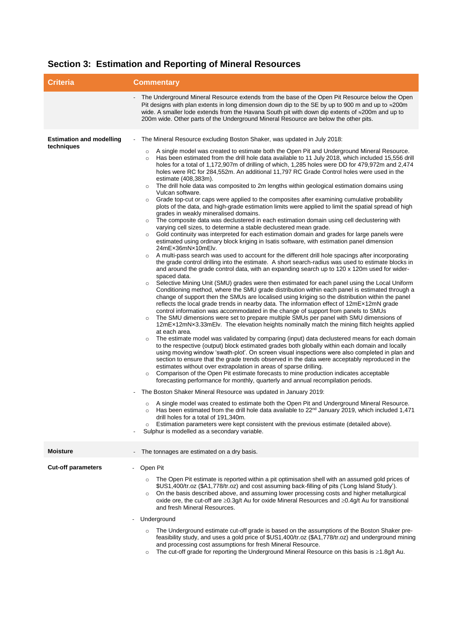|  | Section 3: Estimation and Reporting of Mineral Resources |  |  |  |
|--|----------------------------------------------------------|--|--|--|
|--|----------------------------------------------------------|--|--|--|

| <b>Criteria</b>                               | <b>Commentary</b>                                                                                                                                                                                                                                                                                                                                                                                                                                                                                                                                                                                                                                                                                                                                                                                                                                                                                                                                                                                                                                                                                                                                                                                                                                                                                                                                                                                                                                                                                                                                                                                                                                                                                                                                                                                                                                                                                                                                                                                                                                                                                                                                                                                                                                                                                                                                                                                                                                                                                                                                                                                                                                                                                                                                                                                                                                                                                                                                                                                                                                                                                                                                                                                                                                                                                                                                                                                                                                                                                                                                                         |  |
|-----------------------------------------------|---------------------------------------------------------------------------------------------------------------------------------------------------------------------------------------------------------------------------------------------------------------------------------------------------------------------------------------------------------------------------------------------------------------------------------------------------------------------------------------------------------------------------------------------------------------------------------------------------------------------------------------------------------------------------------------------------------------------------------------------------------------------------------------------------------------------------------------------------------------------------------------------------------------------------------------------------------------------------------------------------------------------------------------------------------------------------------------------------------------------------------------------------------------------------------------------------------------------------------------------------------------------------------------------------------------------------------------------------------------------------------------------------------------------------------------------------------------------------------------------------------------------------------------------------------------------------------------------------------------------------------------------------------------------------------------------------------------------------------------------------------------------------------------------------------------------------------------------------------------------------------------------------------------------------------------------------------------------------------------------------------------------------------------------------------------------------------------------------------------------------------------------------------------------------------------------------------------------------------------------------------------------------------------------------------------------------------------------------------------------------------------------------------------------------------------------------------------------------------------------------------------------------------------------------------------------------------------------------------------------------------------------------------------------------------------------------------------------------------------------------------------------------------------------------------------------------------------------------------------------------------------------------------------------------------------------------------------------------------------------------------------------------------------------------------------------------------------------------------------------------------------------------------------------------------------------------------------------------------------------------------------------------------------------------------------------------------------------------------------------------------------------------------------------------------------------------------------------------------------------------------------------------------------------------------------------------|--|
|                                               | The Underground Mineral Resource extends from the base of the Open Pit Resource below the Open<br>Pit designs with plan extents in long dimension down dip to the SE by up to 900 m and up to $\approx$ 200m<br>wide. A smaller lode extends from the Havana South pit with down dip extents of $\approx$ 200m and up to<br>200m wide. Other parts of the Underground Mineral Resource are below the other pits.                                                                                                                                                                                                                                                                                                                                                                                                                                                                                                                                                                                                                                                                                                                                                                                                                                                                                                                                                                                                                                                                                                                                                                                                                                                                                                                                                                                                                                                                                                                                                                                                                                                                                                                                                                                                                                                                                                                                                                                                                                                                                                                                                                                                                                                                                                                                                                                                                                                                                                                                                                                                                                                                                                                                                                                                                                                                                                                                                                                                                                                                                                                                                          |  |
| <b>Estimation and modelling</b><br>techniques | The Mineral Resource excluding Boston Shaker, was updated in July 2018:<br>$\blacksquare$<br>A single model was created to estimate both the Open Pit and Underground Mineral Resource.<br>$\circ$<br>Has been estimated from the drill hole data available to 11 July 2018, which included 15,556 drill<br>$\circ$<br>holes for a total of 1,172,907m of drilling of which, 1,285 holes were DD for 479,972m and 2,474<br>holes were RC for 284,552m. An additional 11,797 RC Grade Control holes were used in the<br>estimate (408,383m).<br>The drill hole data was composited to 2m lengths within geological estimation domains using<br>$\circ$<br>Vulcan software.<br>Grade top-cut or caps were applied to the composites after examining cumulative probability<br>$\circ$<br>plots of the data, and high-grade estimation limits were applied to limit the spatial spread of high<br>grades in weakly mineralised domains.<br>The composite data was declustered in each estimation domain using cell declustering with<br>$\circ$<br>varying cell sizes, to determine a stable declustered mean grade.<br>Gold continuity was interpreted for each estimation domain and grades for large panels were<br>$\circ$<br>estimated using ordinary block kriging in Isatis software, with estimation panel dimension<br>24mEx36mNx10mElv.<br>A multi-pass search was used to account for the different drill hole spacings after incorporating<br>the grade control drilling into the estimate. A short search-radius was used to estimate blocks in<br>and around the grade control data, with an expanding search up to 120 x 120m used for wider-<br>spaced data.<br>Selective Mining Unit (SMU) grades were then estimated for each panel using the Local Uniform<br>$\circ$<br>Conditioning method, where the SMU grade distribution within each panel is estimated through a<br>change of support then the SMUs are localised using kriging so the distribution within the panel<br>reflects the local grade trends in nearby data. The information effect of 12mEx12mN grade<br>control information was accommodated in the change of support from panels to SMUs<br>The SMU dimensions were set to prepare multiple SMUs per panel with SMU dimensions of<br>$\circ$<br>12mEx12mNx3.33mElv. The elevation heights nominally match the mining flitch heights applied<br>at each area.<br>The estimate model was validated by comparing (input) data declustered means for each domain<br>$\circ$<br>to the respective (output) block estimated grades both globally within each domain and locally<br>using moving window 'swath-plot'. On screen visual inspections were also completed in plan and<br>section to ensure that the grade trends observed in the data were acceptably reproduced in the<br>estimates without over extrapolation in areas of sparse drilling.<br>Comparison of the Open Pit estimate forecasts to mine production indicates acceptable<br>$\circ$<br>forecasting performance for monthly, quarterly and annual recompilation periods.<br>The Boston Shaker Mineral Resource was updated in January 2019:<br>A single model was created to estimate both the Open Pit and Underground Mineral Resource.<br>$\circ$<br>Has been estimated from the drill hole data available to 22 <sup>nd</sup> January 2019, which included 1.471<br>drill holes for a total of 191,340m.<br>Estimation parameters were kept consistent with the previous estimate (detailed above).<br>$\circ$<br>Sulphur is modelled as a secondary variable. |  |
| <b>Moisture</b>                               | The tonnages are estimated on a dry basis.                                                                                                                                                                                                                                                                                                                                                                                                                                                                                                                                                                                                                                                                                                                                                                                                                                                                                                                                                                                                                                                                                                                                                                                                                                                                                                                                                                                                                                                                                                                                                                                                                                                                                                                                                                                                                                                                                                                                                                                                                                                                                                                                                                                                                                                                                                                                                                                                                                                                                                                                                                                                                                                                                                                                                                                                                                                                                                                                                                                                                                                                                                                                                                                                                                                                                                                                                                                                                                                                                                                                |  |
| <b>Cut-off parameters</b>                     | Open Pit<br>The Open Pit estimate is reported within a pit optimisation shell with an assumed gold prices of<br>$\circ$<br>\$US1,400/tr.oz (\$A1,778/tr.oz) and cost assuming back-filling of pits ('Long Island Study').<br>On the basis described above, and assuming lower processing costs and higher metallurgical<br>$\circ$<br>oxide ore, the cut-off are $\geq 0.3$ g/t Au for oxide Mineral Resources and $\geq 0.4$ g/t Au for transitional<br>and fresh Mineral Resources.<br>Underground<br>The Underground estimate cut-off grade is based on the assumptions of the Boston Shaker pre-<br>$\circ$<br>feasibility study, and uses a gold price of \$US1,400/tr.oz (\$A1,778/tr.oz) and underground mining<br>and processing cost assumptions for fresh Mineral Resource.<br>The cut-off grade for reporting the Underground Mineral Resource on this basis is $\geq 1.8$ g/t Au.<br>$\circ$                                                                                                                                                                                                                                                                                                                                                                                                                                                                                                                                                                                                                                                                                                                                                                                                                                                                                                                                                                                                                                                                                                                                                                                                                                                                                                                                                                                                                                                                                                                                                                                                                                                                                                                                                                                                                                                                                                                                                                                                                                                                                                                                                                                                                                                                                                                                                                                                                                                                                                                                                                                                                                                                  |  |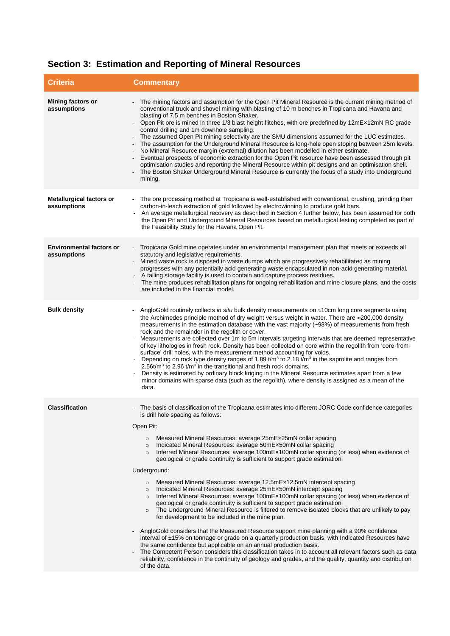# **Section 3: Estimation and Reporting of Mineral Resources**

| <b>Criteria</b>                                | <b>Commentary</b>                                                                                                                                                                                                                                                                                                                                                                                                                                                                                                                                                                                                                                                                                                                                                                                                                                                                                                                                                                                                                                                                                                                                                                                                                                                                                                                                                                                                                                                                                                                                                  |
|------------------------------------------------|--------------------------------------------------------------------------------------------------------------------------------------------------------------------------------------------------------------------------------------------------------------------------------------------------------------------------------------------------------------------------------------------------------------------------------------------------------------------------------------------------------------------------------------------------------------------------------------------------------------------------------------------------------------------------------------------------------------------------------------------------------------------------------------------------------------------------------------------------------------------------------------------------------------------------------------------------------------------------------------------------------------------------------------------------------------------------------------------------------------------------------------------------------------------------------------------------------------------------------------------------------------------------------------------------------------------------------------------------------------------------------------------------------------------------------------------------------------------------------------------------------------------------------------------------------------------|
| <b>Mining factors or</b><br>assumptions        | The mining factors and assumption for the Open Pit Mineral Resource is the current mining method of<br>conventional truck and shovel mining with blasting of 10 m benches in Tropicana and Havana and<br>blasting of 7.5 m benches in Boston Shaker.<br>Open Pit ore is mined in three 1/3 blast height flitches, with ore predefined by 12mEx12mN RC grade<br>control drilling and 1m downhole sampling.<br>The assumed Open Pit mining selectivity are the SMU dimensions assumed for the LUC estimates.<br>The assumption for the Underground Mineral Resource is long-hole open stoping between 25m levels.<br>No Mineral Resource margin (extremal) dilution has been modelled in either estimate.<br>Eventual prospects of economic extraction for the Open Pit resource have been assessed through pit<br>optimisation studies and reporting the Mineral Resource within pit designs and an optimisation shell.<br>The Boston Shaker Underground Mineral Resource is currently the focus of a study into Underground<br>mining.                                                                                                                                                                                                                                                                                                                                                                                                                                                                                                                             |
| <b>Metallurgical factors or</b><br>assumptions | - The ore processing method at Tropicana is well-established with conventional, crushing, grinding then<br>carbon-in-leach extraction of gold followed by electrowinning to produce gold bars.<br>An average metallurgical recovery as described in Section 4 further below, has been assumed for both<br>$\overline{\phantom{a}}$<br>the Open Pit and Underground Mineral Resources based on metallurgical testing completed as part of<br>the Feasibility Study for the Havana Open Pit.                                                                                                                                                                                                                                                                                                                                                                                                                                                                                                                                                                                                                                                                                                                                                                                                                                                                                                                                                                                                                                                                         |
| <b>Environmental factors or</b><br>assumptions | Tropicana Gold mine operates under an environmental management plan that meets or exceeds all<br>statutory and legislative requirements.<br>Mined waste rock is disposed in waste dumps which are progressively rehabilitated as mining<br>progresses with any potentially acid generating waste encapsulated in non-acid generating material.<br>- A tailing storage facility is used to contain and capture process residues.<br>The mine produces rehabilitation plans for ongoing rehabilitation and mine closure plans, and the costs<br>are included in the financial model.                                                                                                                                                                                                                                                                                                                                                                                                                                                                                                                                                                                                                                                                                                                                                                                                                                                                                                                                                                                 |
| <b>Bulk density</b>                            | AngloGold routinely collects in situ bulk density measurements on $\approx$ 10cm long core segments using<br>the Archimedes principle method of dry weight versus weight in water. There are ≈200,000 density<br>measurements in the estimation database with the vast majority (~98%) of measurements from fresh<br>rock and the remainder in the regolith or cover.<br>Measurements are collected over 1m to 5m intervals targeting intervals that are deemed representative<br>of key lithologies in fresh rock. Density has been collected on core within the regolith from 'core-from-<br>surface' drill holes, with the measurement method accounting for voids.<br>Depending on rock type density ranges of 1.89 $t/m3$ to 2.18 $t/m3$ in the saprolite and ranges from<br>2.56t/ $m3$ to 2.96 t/ $m3$ in the transitional and fresh rock domains.<br>Density is estimated by ordinary block kriging in the Mineral Resource estimates apart from a few<br>minor domains with sparse data (such as the regolith), where density is assigned as a mean of the<br>data.                                                                                                                                                                                                                                                                                                                                                                                                                                                                                       |
| <b>Classification</b>                          | - The basis of classification of the Tropicana estimates into different JORC Code confidence categories<br>is drill hole spacing as follows:<br>Open Pit:<br>Measured Mineral Resources: average 25mEx25mN collar spacing<br>$\circ$<br>Indicated Mineral Resources: average 50mEx50mN collar spacing<br>$\circ$<br>Inferred Mineral Resources: average 100mEx100mN collar spacing (or less) when evidence of<br>$\circ$<br>geological or grade continuity is sufficient to support grade estimation.<br>Underground:<br>Measured Mineral Resources: average 12.5mEx12.5mN intercept spacing<br>$\circ$<br>Indicated Mineral Resources: average 25mEx50mN intercept spacing<br>$\circ$<br>Inferred Mineral Resources: average 100mEx100mN collar spacing (or less) when evidence of<br>$\circ$<br>geological or grade continuity is sufficient to support grade estimation.<br>The Underground Mineral Resource is filtered to remove isolated blocks that are unlikely to pay<br>$\circ$<br>for development to be included in the mine plan.<br>AngloGold considers that the Measured Resource support mine planning with a 90% confidence<br>interval of ±15% on tonnage or grade on a quarterly production basis, with Indicated Resources have<br>the same confidence but applicable on an annual production basis.<br>The Competent Person considers this classification takes in to account all relevant factors such as data<br>reliability, confidence in the continuity of geology and grades, and the quality, quantity and distribution<br>of the data. |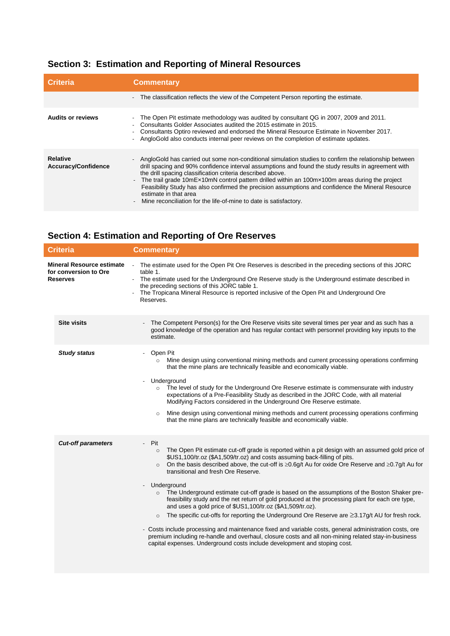### **Section 3: Estimation and Reporting of Mineral Resources**

| <b>Criteria</b>                        | <b>Commentary</b>                                                                                                                                                                                                                                                                                                                                                                                                                                                                                                                                                                                |  |
|----------------------------------------|--------------------------------------------------------------------------------------------------------------------------------------------------------------------------------------------------------------------------------------------------------------------------------------------------------------------------------------------------------------------------------------------------------------------------------------------------------------------------------------------------------------------------------------------------------------------------------------------------|--|
|                                        | - The classification reflects the view of the Competent Person reporting the estimate.                                                                                                                                                                                                                                                                                                                                                                                                                                                                                                           |  |
| <b>Audits or reviews</b>               | The Open Pit estimate methodology was audited by consultant QG in 2007, 2009 and 2011.<br>Consultants Golder Associates audited the 2015 estimate in 2015.<br>Consultants Optiro reviewed and endorsed the Mineral Resource Estimate in November 2017.<br>AngloGold also conducts internal peer reviews on the completion of estimate updates.                                                                                                                                                                                                                                                   |  |
| <b>Relative</b><br>Accuracy/Confidence | - AngloGold has carried out some non-conditional simulation studies to confirm the relationship between<br>drill spacing and 90% confidence interval assumptions and found the study results in agreement with<br>the drill spacing classification criteria described above.<br>The trail grade 10mEx10mN control pattern drilled within an 100mx100m areas during the project<br>Feasibility Study has also confirmed the precision assumptions and confidence the Mineral Resource<br>estimate in that area<br>Mine reconciliation for the life-of-mine to date is satisfactory.<br>$\sim$ $-$ |  |

### **Section 4: Estimation and Reporting of Ore Reserves**

|                                                                              | Criteria                  | <b>Commentary</b>                                                                                                                                                                                                                                                                                                                                                                                                                                                                                                                                                                                                                                                                                                                                                                                                                                                                                                                                                                                                                                                                            |  |
|------------------------------------------------------------------------------|---------------------------|----------------------------------------------------------------------------------------------------------------------------------------------------------------------------------------------------------------------------------------------------------------------------------------------------------------------------------------------------------------------------------------------------------------------------------------------------------------------------------------------------------------------------------------------------------------------------------------------------------------------------------------------------------------------------------------------------------------------------------------------------------------------------------------------------------------------------------------------------------------------------------------------------------------------------------------------------------------------------------------------------------------------------------------------------------------------------------------------|--|
| <b>Mineral Resource estimate</b><br>for conversion to Ore<br><b>Reserves</b> |                           | - The estimate used for the Open Pit Ore Reserves is described in the preceding sections of this JORC<br>table 1.<br>- The estimate used for the Underground Ore Reserve study is the Underground estimate described in<br>the preceding sections of this JORC table 1.<br>The Tropicana Mineral Resource is reported inclusive of the Open Pit and Underground Ore<br>Reserves.                                                                                                                                                                                                                                                                                                                                                                                                                                                                                                                                                                                                                                                                                                             |  |
|                                                                              | <b>Site visits</b>        | The Competent Person(s) for the Ore Reserve visits site several times per year and as such has a<br>good knowledge of the operation and has regular contact with personnel providing key inputs to the<br>estimate.                                                                                                                                                                                                                                                                                                                                                                                                                                                                                                                                                                                                                                                                                                                                                                                                                                                                          |  |
|                                                                              | <b>Study status</b>       | Open Pit<br>Mine design using conventional mining methods and current processing operations confirming<br>$\circ$<br>that the mine plans are technically feasible and economically viable.<br>Underground<br>$\circ$ The level of study for the Underground Ore Reserve estimate is commensurate with industry<br>expectations of a Pre-Feasibility Study as described in the JORC Code, with all material<br>Modifying Factors considered in the Underground Ore Reserve estimate.<br>Mine design using conventional mining methods and current processing operations confirming<br>$\circ$<br>that the mine plans are technically feasible and economically viable.                                                                                                                                                                                                                                                                                                                                                                                                                        |  |
|                                                                              | <b>Cut-off parameters</b> | Pit<br>$\mathcal{L}^{\pm}$<br>The Open Pit estimate cut-off grade is reported within a pit design with an assumed gold price of<br>$\circ$<br>\$US1,100/tr.oz (\$A1,509/tr.oz) and costs assuming back-filling of pits.<br>On the basis described above, the cut-off is $\geq 0.6q/t$ Au for oxide Ore Reserve and $\geq 0.7q/t$ Au for<br>$\circ$<br>transitional and fresh Ore Reserve.<br>Underground<br>The Underground estimate cut-off grade is based on the assumptions of the Boston Shaker pre-<br>feasibility study and the net return of gold produced at the processing plant for each ore type,<br>and uses a gold price of \$US1,100/tr.oz (\$A1,509/tr.oz).<br>The specific cut-offs for reporting the Underground Ore Reserve are $\geq$ 3.17g/t AU for fresh rock.<br>$\circ$<br>- Costs include processing and maintenance fixed and variable costs, general administration costs, ore<br>premium including re-handle and overhaul, closure costs and all non-mining related stay-in-business<br>capital expenses. Underground costs include development and stoping cost. |  |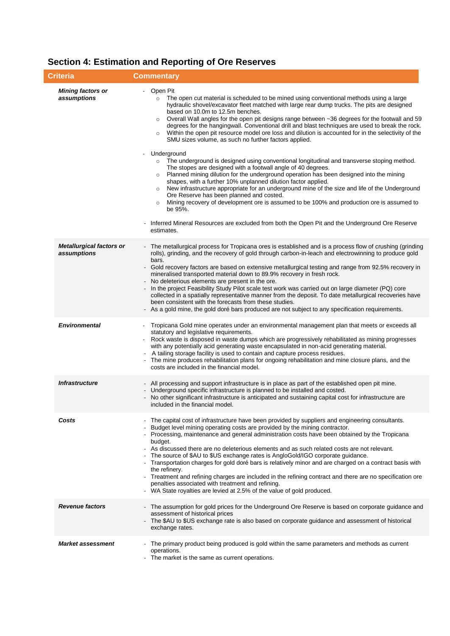| <b>Criteria</b>                                | <b>Commentary</b>                                                                                                                                                                                                                                                                                                                                                                                                                                                                                                                                                                                                                                                                                                                                                                                                                                                                                                                                                                                                                                                                                                                                                                                                                                                                                                                                                                             |  |
|------------------------------------------------|-----------------------------------------------------------------------------------------------------------------------------------------------------------------------------------------------------------------------------------------------------------------------------------------------------------------------------------------------------------------------------------------------------------------------------------------------------------------------------------------------------------------------------------------------------------------------------------------------------------------------------------------------------------------------------------------------------------------------------------------------------------------------------------------------------------------------------------------------------------------------------------------------------------------------------------------------------------------------------------------------------------------------------------------------------------------------------------------------------------------------------------------------------------------------------------------------------------------------------------------------------------------------------------------------------------------------------------------------------------------------------------------------|--|
| <b>Mining factors or</b><br>assumptions        | Open Pit<br>The open cut material is scheduled to be mined using conventional methods using a large<br>$\circ$<br>hydraulic shovel/excavator fleet matched with large rear dump trucks. The pits are designed<br>based on 10.0m to 12.5m benches.<br>Overall Wall angles for the open pit designs range between ~36 degrees for the footwall and 59<br>$\circ$<br>degrees for the hangingwall. Conventional drill and blast techniques are used to break the rock.<br>Within the open pit resource model ore loss and dilution is accounted for in the selectivity of the<br>SMU sizes volume, as such no further factors applied.<br>Underground<br>The underground is designed using conventional longitudinal and transverse stoping method.<br>$\circ$<br>The stopes are designed with a footwall angle of 40 degrees.<br>Planned mining dilution for the underground operation has been designed into the mining<br>$\circ$<br>shapes, with a further 10% unplanned dilution factor applied.<br>New infrastructure appropriate for an underground mine of the size and life of the Underground<br>$\circ$<br>Ore Reserve has been planned and costed.<br>Mining recovery of development ore is assumed to be 100% and production ore is assumed to<br>$\circ$<br>be 95%.<br>Inferred Mineral Resources are excluded from both the Open Pit and the Underground Ore Reserve<br>estimates. |  |
| <b>Metallurgical factors or</b><br>assumptions | The metallurgical process for Tropicana ores is established and is a process flow of crushing (grinding<br>rolls), grinding, and the recovery of gold through carbon-in-leach and electrowinning to produce gold<br>bars.<br>Gold recovery factors are based on extensive metallurgical testing and range from 92.5% recovery in<br>mineralised transported material down to 89.9% recovery in fresh rock.<br>No deleterious elements are present in the ore.<br>In the project Feasibility Study Pilot scale test work was carried out on large diameter (PQ) core<br>collected in a spatially representative manner from the deposit. To date metallurgical recoveries have<br>been consistent with the forecasts from these studies.<br>As a gold mine, the gold doré bars produced are not subject to any specification requirements.                                                                                                                                                                                                                                                                                                                                                                                                                                                                                                                                                     |  |
| <b>Environmental</b>                           | Tropicana Gold mine operates under an environmental management plan that meets or exceeds all<br>statutory and legislative requirements.<br>Rock waste is disposed in waste dumps which are progressively rehabilitated as mining progresses<br>with any potentially acid generating waste encapsulated in non-acid generating material.<br>A tailing storage facility is used to contain and capture process residues.<br>The mine produces rehabilitation plans for ongoing rehabilitation and mine closure plans, and the<br>costs are included in the financial model.                                                                                                                                                                                                                                                                                                                                                                                                                                                                                                                                                                                                                                                                                                                                                                                                                    |  |
| <i><b>Infrastructure</b></i>                   | All processing and support infrastructure is in place as part of the established open pit mine.<br>Underground specific infrastructure is planned to be installed and costed.<br>No other significant infrastructure is anticipated and sustaining capital cost for infrastructure are<br>included in the financial model.                                                                                                                                                                                                                                                                                                                                                                                                                                                                                                                                                                                                                                                                                                                                                                                                                                                                                                                                                                                                                                                                    |  |
| Costs                                          | The capital cost of infrastructure have been provided by suppliers and engineering consultants.<br>Budget level mining operating costs are provided by the mining contractor.<br>- Processing, maintenance and general administration costs have been obtained by the Tropicana<br>budget.<br>- As discussed there are no deleterious elements and as such related costs are not relevant.<br>- The source of \$AU to \$US exchange rates is AngloGold/IGO corporate guidance.<br>- Transportation charges for gold doré bars is relatively minor and are charged on a contract basis with<br>the refinery.<br>- Treatment and refining charges are included in the refining contract and there are no specification ore<br>penalties associated with treatment and refining.<br>- WA State royalties are levied at 2.5% of the value of gold produced.                                                                                                                                                                                                                                                                                                                                                                                                                                                                                                                                       |  |
| <b>Revenue factors</b>                         | - The assumption for gold prices for the Underground Ore Reserve is based on corporate guidance and<br>assessment of historical prices<br>The \$AU to \$US exchange rate is also based on corporate guidance and assessment of historical<br>exchange rates.                                                                                                                                                                                                                                                                                                                                                                                                                                                                                                                                                                                                                                                                                                                                                                                                                                                                                                                                                                                                                                                                                                                                  |  |
| <b>Market assessment</b>                       | The primary product being produced is gold within the same parameters and methods as current<br>operations.<br>- The market is the same as current operations.                                                                                                                                                                                                                                                                                                                                                                                                                                                                                                                                                                                                                                                                                                                                                                                                                                                                                                                                                                                                                                                                                                                                                                                                                                |  |

### **Section 4: Estimation and Reporting of Ore Reserves**